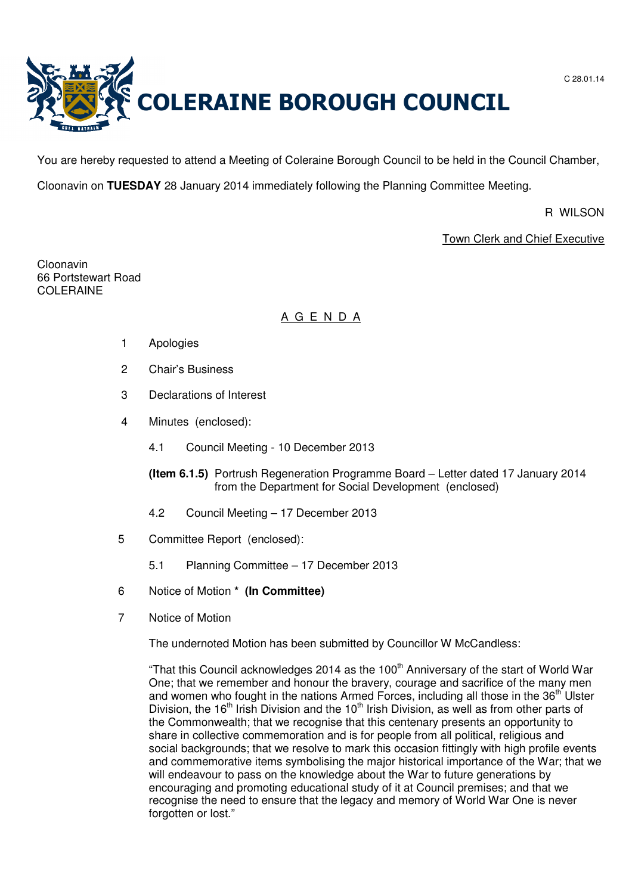

You are hereby requested to attend a Meeting of Coleraine Borough Council to be held in the Council Chamber,

Cloonavin on **TUESDAY** 28 January 2014 immediately following the Planning Committee Meeting.

R WILSON

Town Clerk and Chief Executive

Cloonavin 66 Portstewart Road COLERAINE

# A G E N D A

- 1 Apologies
- 2 Chair's Business
- 3 Declarations of Interest
- 4 Minutes (enclosed):
	- 4.1 Council Meeting 10 December 2013
	- **(Item 6.1.5)** Portrush Regeneration Programme Board Letter dated 17 January 2014 from the Department for Social Development (enclosed)
	- 4.2 Council Meeting 17 December 2013
- 5 Committee Report (enclosed):
	- 5.1 Planning Committee 17 December 2013
- 6 Notice of Motion **\* (In Committee)**
- 7 Notice of Motion

The undernoted Motion has been submitted by Councillor W McCandless:

"That this Council acknowledges 2014 as the  $100<sup>th</sup>$  Anniversary of the start of World War One; that we remember and honour the bravery, courage and sacrifice of the many men and women who fought in the nations Armed Forces, including all those in the 36<sup>th</sup> Ulster Division, the 16<sup>th</sup> Irish Division and the 10<sup>th</sup> Irish Division, as well as from other parts of the Commonwealth; that we recognise that this centenary presents an opportunity to share in collective commemoration and is for people from all political, religious and social backgrounds; that we resolve to mark this occasion fittingly with high profile events and commemorative items symbolising the major historical importance of the War; that we will endeavour to pass on the knowledge about the War to future generations by encouraging and promoting educational study of it at Council premises; and that we recognise the need to ensure that the legacy and memory of World War One is never forgotten or lost."

C 28.01.14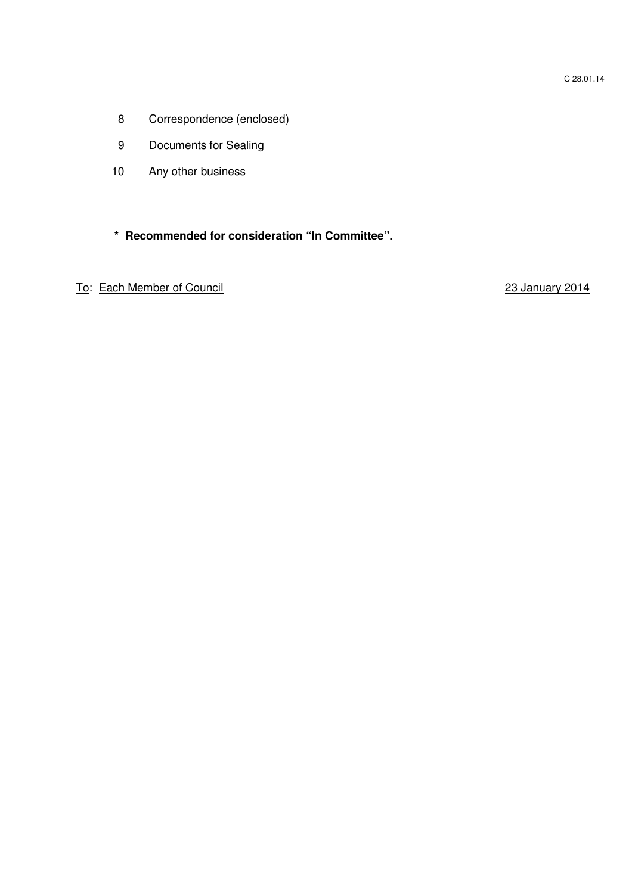- 8 Correspondence (enclosed)
- 9 Documents for Sealing
- 10 Any other business

# **\* Recommended for consideration "In Committee".**

To: Each Member of Council 23 January 2014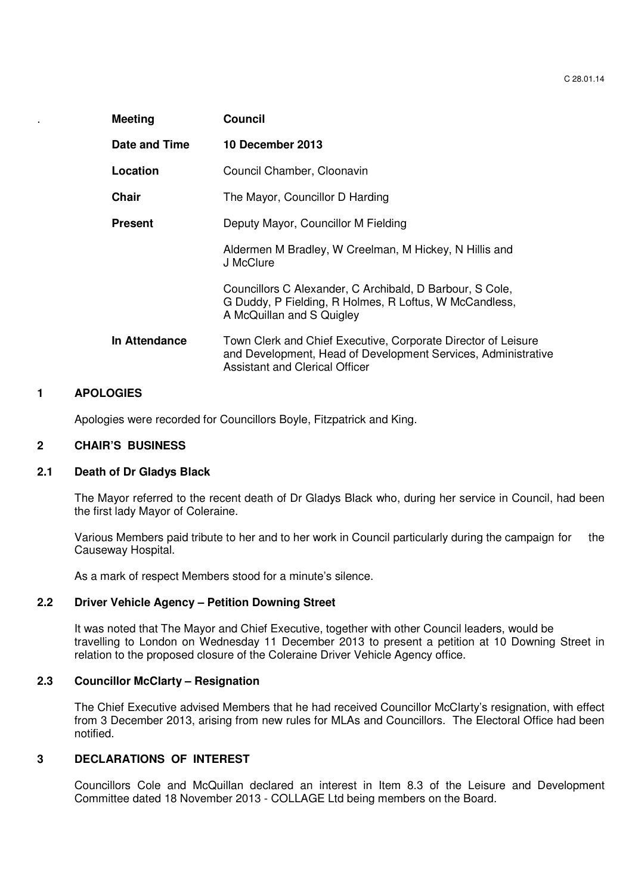| <b>Meeting</b> | Council                                                                                                                                                                 |
|----------------|-------------------------------------------------------------------------------------------------------------------------------------------------------------------------|
| Date and Time  | 10 December 2013                                                                                                                                                        |
| Location       | Council Chamber, Cloonavin                                                                                                                                              |
| <b>Chair</b>   | The Mayor, Councillor D Harding                                                                                                                                         |
| <b>Present</b> | Deputy Mayor, Councillor M Fielding                                                                                                                                     |
|                | Aldermen M Bradley, W Creelman, M Hickey, N Hillis and<br>J McClure                                                                                                     |
|                | Councillors C Alexander, C Archibald, D Barbour, S Cole,<br>G Duddy, P Fielding, R Holmes, R Loftus, W McCandless,<br>A McQuillan and S Quigley                         |
| In Attendance  | Town Clerk and Chief Executive, Corporate Director of Leisure<br>and Development, Head of Development Services, Administrative<br><b>Assistant and Clerical Officer</b> |

#### **1 APOLOGIES**

Apologies were recorded for Councillors Boyle, Fitzpatrick and King.

#### **2 CHAIR'S BUSINESS**

# **2.1 Death of Dr Gladys Black**

The Mayor referred to the recent death of Dr Gladys Black who, during her service in Council, had been the first lady Mayor of Coleraine.

Various Members paid tribute to her and to her work in Council particularly during the campaign for the Causeway Hospital.

As a mark of respect Members stood for a minute's silence.

### **2.2 Driver Vehicle Agency – Petition Downing Street**

It was noted that The Mayor and Chief Executive, together with other Council leaders, would be travelling to London on Wednesday 11 December 2013 to present a petition at 10 Downing Street in relation to the proposed closure of the Coleraine Driver Vehicle Agency office.

### **2.3 Councillor McClarty – Resignation**

 The Chief Executive advised Members that he had received Councillor McClarty's resignation, with effect from 3 December 2013, arising from new rules for MLAs and Councillors. The Electoral Office had been notified.

#### **3 DECLARATIONS OF INTEREST**

Councillors Cole and McQuillan declared an interest in Item 8.3 of the Leisure and Development Committee dated 18 November 2013 - COLLAGE Ltd being members on the Board.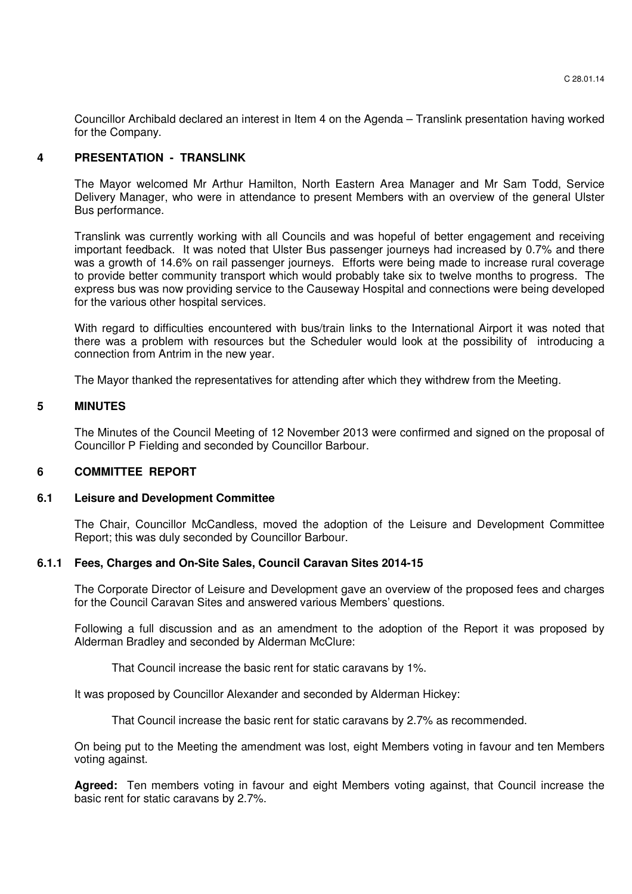Councillor Archibald declared an interest in Item 4 on the Agenda – Translink presentation having worked for the Company.

# **4 PRESENTATION - TRANSLINK**

The Mayor welcomed Mr Arthur Hamilton, North Eastern Area Manager and Mr Sam Todd, Service Delivery Manager, who were in attendance to present Members with an overview of the general Ulster Bus performance.

 Translink was currently working with all Councils and was hopeful of better engagement and receiving important feedback. It was noted that Ulster Bus passenger journeys had increased by 0.7% and there was a growth of 14.6% on rail passenger journeys. Efforts were being made to increase rural coverage to provide better community transport which would probably take six to twelve months to progress. The express bus was now providing service to the Causeway Hospital and connections were being developed for the various other hospital services.

With regard to difficulties encountered with bus/train links to the International Airport it was noted that there was a problem with resources but the Scheduler would look at the possibility of introducing a connection from Antrim in the new year.

The Mayor thanked the representatives for attending after which they withdrew from the Meeting.

#### **5 MINUTES**

The Minutes of the Council Meeting of 12 November 2013 were confirmed and signed on the proposal of Councillor P Fielding and seconded by Councillor Barbour.

# **6 COMMITTEE REPORT**

#### **6.1 Leisure and Development Committee**

The Chair, Councillor McCandless, moved the adoption of the Leisure and Development Committee Report; this was duly seconded by Councillor Barbour.

# **6.1.1 Fees, Charges and On-Site Sales, Council Caravan Sites 2014-15**

The Corporate Director of Leisure and Development gave an overview of the proposed fees and charges for the Council Caravan Sites and answered various Members' questions.

 Following a full discussion and as an amendment to the adoption of the Report it was proposed by Alderman Bradley and seconded by Alderman McClure:

That Council increase the basic rent for static caravans by 1%.

It was proposed by Councillor Alexander and seconded by Alderman Hickey:

That Council increase the basic rent for static caravans by 2.7% as recommended.

 On being put to the Meeting the amendment was lost, eight Members voting in favour and ten Members voting against.

**Agreed:** Ten members voting in favour and eight Members voting against, that Council increase the basic rent for static caravans by 2.7%.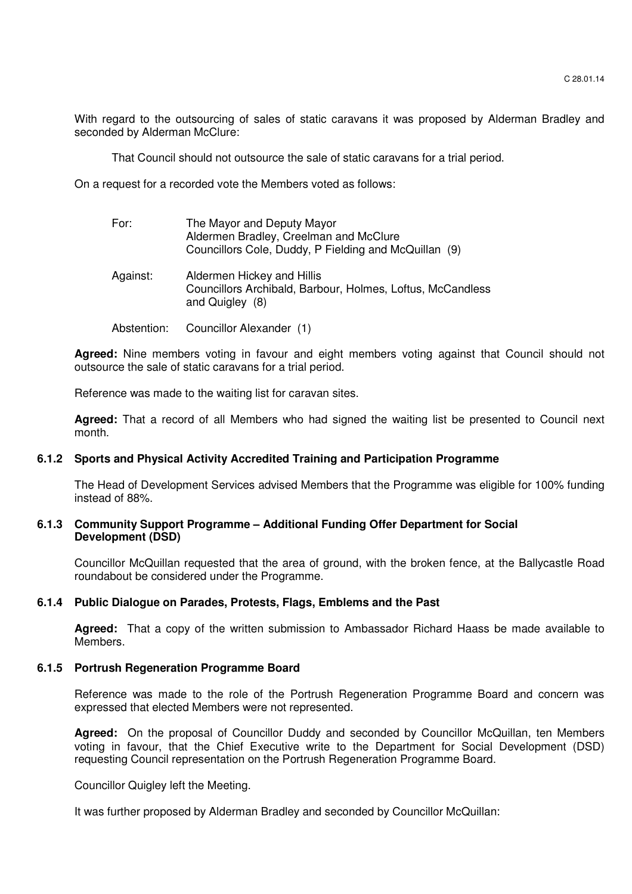With regard to the outsourcing of sales of static caravans it was proposed by Alderman Bradley and seconded by Alderman McClure:

That Council should not outsource the sale of static caravans for a trial period.

On a request for a recorded vote the Members voted as follows:

| For:        | The Mayor and Deputy Mayor<br>Aldermen Bradley, Creelman and McClure<br>Councillors Cole, Duddy, P Fielding and McQuillan (9) |
|-------------|-------------------------------------------------------------------------------------------------------------------------------|
| Against:    | Aldermen Hickey and Hillis<br>Councillors Archibald, Barbour, Holmes, Loftus, McCandless<br>and Quigley (8)                   |
| Abstention: | Councillor Alexander (1)                                                                                                      |

**Agreed:** Nine members voting in favour and eight members voting against that Council should not outsource the sale of static caravans for a trial period.

Reference was made to the waiting list for caravan sites.

**Agreed:** That a record of all Members who had signed the waiting list be presented to Council next month.

# **6.1.2 Sports and Physical Activity Accredited Training and Participation Programme**

The Head of Development Services advised Members that the Programme was eligible for 100% funding instead of 88%.

#### **6.1.3 Community Support Programme – Additional Funding Offer Department for Social Development (DSD)**

Councillor McQuillan requested that the area of ground, with the broken fence, at the Ballycastle Road roundabout be considered under the Programme.

# **6.1.4 Public Dialogue on Parades, Protests, Flags, Emblems and the Past**

 **Agreed:** That a copy of the written submission to Ambassador Richard Haass be made available to Members.

### **6.1.5 Portrush Regeneration Programme Board**

 Reference was made to the role of the Portrush Regeneration Programme Board and concern was expressed that elected Members were not represented.

**Agreed:** On the proposal of Councillor Duddy and seconded by Councillor McQuillan, ten Members voting in favour, that the Chief Executive write to the Department for Social Development (DSD) requesting Council representation on the Portrush Regeneration Programme Board.

Councillor Quigley left the Meeting.

It was further proposed by Alderman Bradley and seconded by Councillor McQuillan: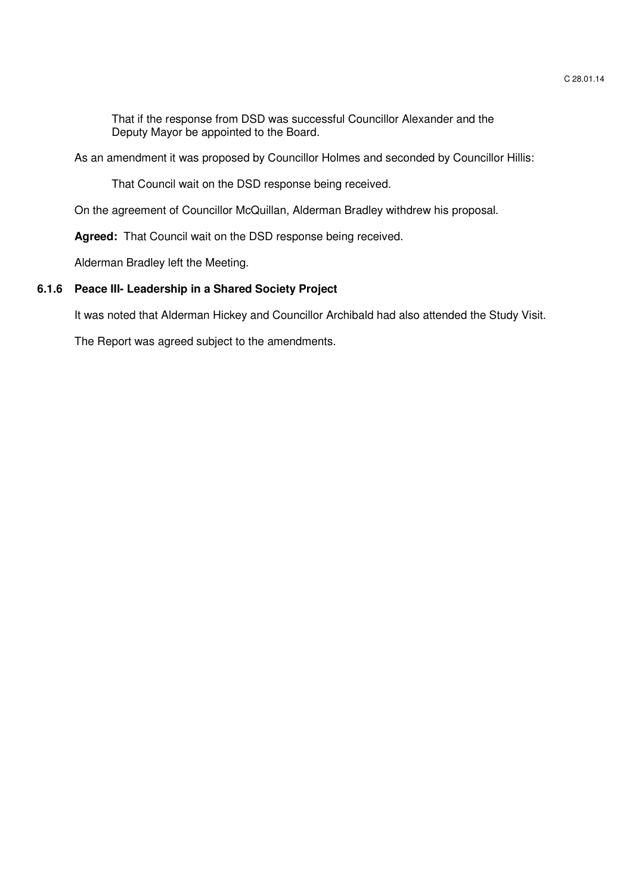That if the response from DSD was successful Councillor Alexander and the Deputy Mayor be appointed to the Board.

As an amendment it was proposed by Councillor Holmes and seconded by Councillor Hillis:

That Council wait on the DSD response being received.

On the agreement of Councillor McQuillan, Alderman Bradley withdrew his proposal.

**Agreed:** That Council wait on the DSD response being received.

Alderman Bradley left the Meeting.

# **6.1.6 Peace III- Leadership in a Shared Society Project**

It was noted that Alderman Hickey and Councillor Archibald had also attended the Study Visit.

The Report was agreed subject to the amendments.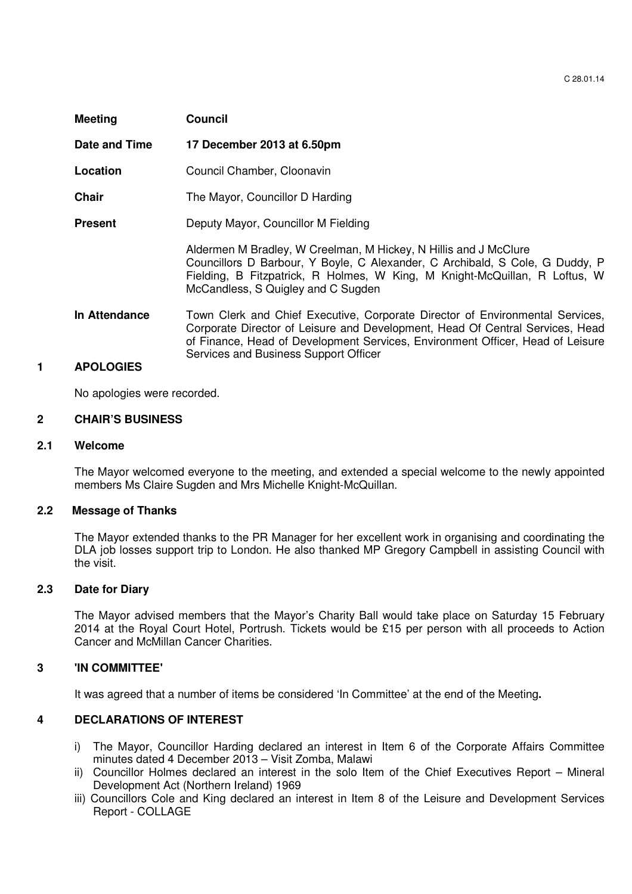| <b>Meeting</b> | Council                                                                                                                                                                                                                                                              |
|----------------|----------------------------------------------------------------------------------------------------------------------------------------------------------------------------------------------------------------------------------------------------------------------|
| Date and Time  | 17 December 2013 at 6.50pm                                                                                                                                                                                                                                           |
| Location       | Council Chamber, Cloonavin                                                                                                                                                                                                                                           |
| <b>Chair</b>   | The Mayor, Councillor D Harding                                                                                                                                                                                                                                      |
| <b>Present</b> | Deputy Mayor, Councillor M Fielding                                                                                                                                                                                                                                  |
|                | Aldermen M Bradley, W Creelman, M Hickey, N Hillis and J McClure<br>Councillors D Barbour, Y Boyle, C Alexander, C Archibald, S Cole, G Duddy, P<br>Fielding, B Fitzpatrick, R Holmes, W King, M Knight-McQuillan, R Loftus, W<br>McCandless, S Quigley and C Sugden |
| In Attendance  | Town Clerk and Chief Executive, Corporate Director of Environmental Services,<br>Corporate Director of Leisure and Development, Head Of Central Services, Head<br>of Finance, Head of Development Services, Environment Officer, Head of Leisure                     |

Services and Business Support Officer

#### **1 APOLOGIES**

No apologies were recorded.

#### **2 CHAIR'S BUSINESS**

#### **2.1 Welcome**

The Mayor welcomed everyone to the meeting, and extended a special welcome to the newly appointed members Ms Claire Sugden and Mrs Michelle Knight-McQuillan.

# **2.2 Message of Thanks**

The Mayor extended thanks to the PR Manager for her excellent work in organising and coordinating the DLA job losses support trip to London. He also thanked MP Gregory Campbell in assisting Council with the visit.

### **2.3 Date for Diary**

The Mayor advised members that the Mayor's Charity Ball would take place on Saturday 15 February 2014 at the Royal Court Hotel, Portrush. Tickets would be £15 per person with all proceeds to Action Cancer and McMillan Cancer Charities.

#### **3 'IN COMMITTEE'**

It was agreed that a number of items be considered 'In Committee' at the end of the Meeting**.** 

### **4 DECLARATIONS OF INTEREST**

- i)The Mayor, Councillor Harding declared an interest in Item 6 of the Corporate Affairs Committee minutes dated 4 December 2013 – Visit Zomba, Malawi
- ii)Councillor Holmes declared an interest in the solo Item of the Chief Executives Report Mineral Development Act (Northern Ireland) 1969
- iii) Councillors Cole and King declared an interest in Item 8 of the Leisure and Development Services Report - COLLAGE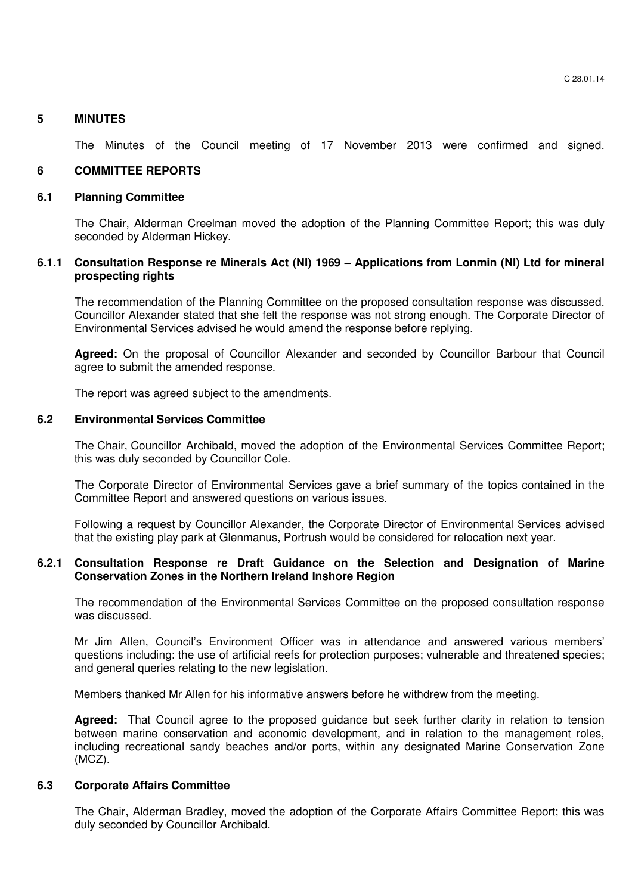# **5 MINUTES**

The Minutes of the Council meeting of 17 November 2013 were confirmed and signed.

# **6 COMMITTEE REPORTS**

#### **6.1 Planning Committee**

The Chair, Alderman Creelman moved the adoption of the Planning Committee Report; this was duly seconded by Alderman Hickey.

### **6.1.1 Consultation Response re Minerals Act (NI) 1969 – Applications from Lonmin (NI) Ltd for mineral prospecting rights**

The recommendation of the Planning Committee on the proposed consultation response was discussed. Councillor Alexander stated that she felt the response was not strong enough. The Corporate Director of Environmental Services advised he would amend the response before replying.

**Agreed:** On the proposal of Councillor Alexander and seconded by Councillor Barbour that Council agree to submit the amended response.

The report was agreed subject to the amendments.

#### **6.2 Environmental Services Committee**

The Chair, Councillor Archibald, moved the adoption of the Environmental Services Committee Report; this was duly seconded by Councillor Cole.

The Corporate Director of Environmental Services gave a brief summary of the topics contained in the Committee Report and answered questions on various issues.

Following a request by Councillor Alexander, the Corporate Director of Environmental Services advised that the existing play park at Glenmanus, Portrush would be considered for relocation next year.

# **6.2.1 Consultation Response re Draft Guidance on the Selection and Designation of Marine Conservation Zones in the Northern Ireland Inshore Region**

 The recommendation of the Environmental Services Committee on the proposed consultation response was discussed.

 Mr Jim Allen, Council's Environment Officer was in attendance and answered various members' questions including: the use of artificial reefs for protection purposes; vulnerable and threatened species; and general queries relating to the new legislation.

Members thanked Mr Allen for his informative answers before he withdrew from the meeting.

**Agreed:** That Council agree to the proposed guidance but seek further clarity in relation to tension between marine conservation and economic development, and in relation to the management roles, including recreational sandy beaches and/or ports, within any designated Marine Conservation Zone (MCZ).

#### **6.3 Corporate Affairs Committee**

The Chair, Alderman Bradley, moved the adoption of the Corporate Affairs Committee Report; this was duly seconded by Councillor Archibald.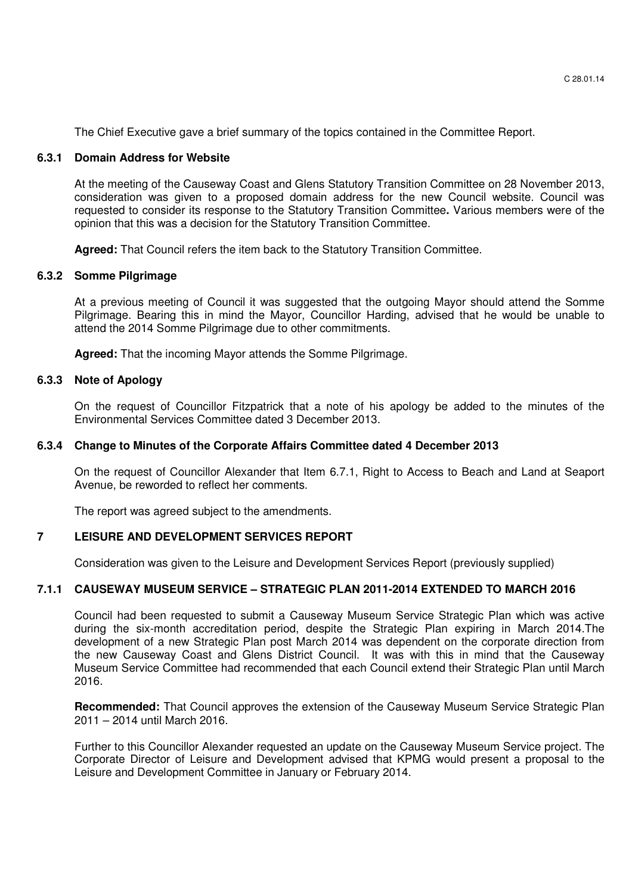The Chief Executive gave a brief summary of the topics contained in the Committee Report.

#### **6.3.1 Domain Address for Website**

At the meeting of the Causeway Coast and Glens Statutory Transition Committee on 28 November 2013, consideration was given to a proposed domain address for the new Council website. Council was requested to consider its response to the Statutory Transition Committee**.** Various members were of the opinion that this was a decision for the Statutory Transition Committee.

**Agreed:** That Council refers the item back to the Statutory Transition Committee.

# **6.3.2 Somme Pilgrimage**

At a previous meeting of Council it was suggested that the outgoing Mayor should attend the Somme Pilgrimage. Bearing this in mind the Mayor, Councillor Harding, advised that he would be unable to attend the 2014 Somme Pilgrimage due to other commitments.

**Agreed:** That the incoming Mayor attends the Somme Pilgrimage.

#### **6.3.3 Note of Apology**

On the request of Councillor Fitzpatrick that a note of his apology be added to the minutes of the Environmental Services Committee dated 3 December 2013.

#### **6.3.4 Change to Minutes of the Corporate Affairs Committee dated 4 December 2013**

On the request of Councillor Alexander that Item 6.7.1, Right to Access to Beach and Land at Seaport Avenue, be reworded to reflect her comments.

The report was agreed subject to the amendments.

# **7 LEISURE AND DEVELOPMENT SERVICES REPORT**

Consideration was given to the Leisure and Development Services Report (previously supplied)

# **7.1.1 CAUSEWAY MUSEUM SERVICE – STRATEGIC PLAN 2011-2014 EXTENDED TO MARCH 2016**

Council had been requested to submit a Causeway Museum Service Strategic Plan which was active during the six-month accreditation period, despite the Strategic Plan expiring in March 2014.The development of a new Strategic Plan post March 2014 was dependent on the corporate direction from the new Causeway Coast and Glens District Council. It was with this in mind that the Causeway Museum Service Committee had recommended that each Council extend their Strategic Plan until March 2016.

**Recommended:** That Council approves the extension of the Causeway Museum Service Strategic Plan 2011 – 2014 until March 2016.

Further to this Councillor Alexander requested an update on the Causeway Museum Service project. The Corporate Director of Leisure and Development advised that KPMG would present a proposal to the Leisure and Development Committee in January or February 2014.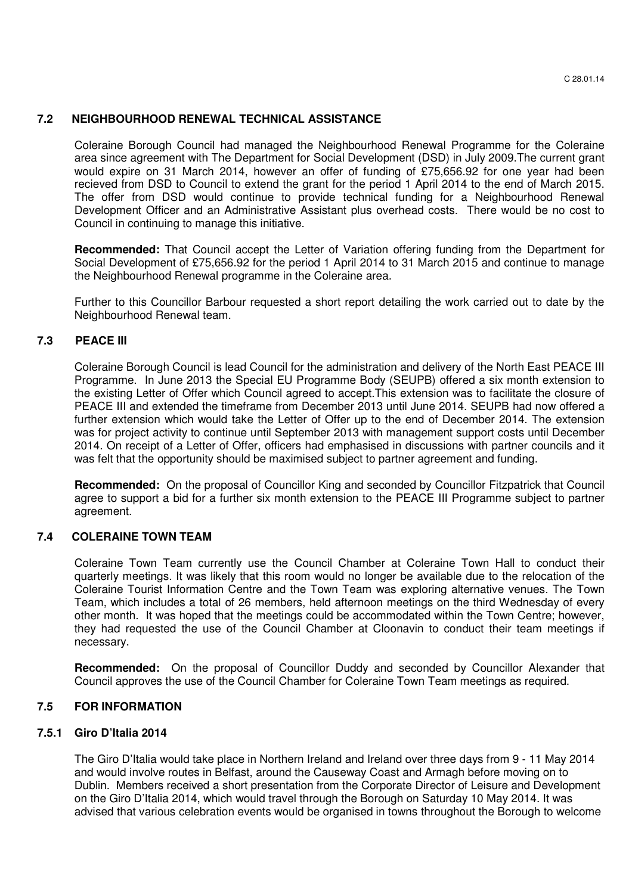# **7.2 NEIGHBOURHOOD RENEWAL TECHNICAL ASSISTANCE**

Coleraine Borough Council had managed the Neighbourhood Renewal Programme for the Coleraine area since agreement with The Department for Social Development (DSD) in July 2009.The current grant would expire on 31 March 2014, however an offer of funding of £75,656.92 for one year had been recieved from DSD to Council to extend the grant for the period 1 April 2014 to the end of March 2015. The offer from DSD would continue to provide technical funding for a Neighbourhood Renewal Development Officer and an Administrative Assistant plus overhead costs. There would be no cost to Council in continuing to manage this initiative.

**Recommended:** That Council accept the Letter of Variation offering funding from the Department for Social Development of £75,656.92 for the period 1 April 2014 to 31 March 2015 and continue to manage the Neighbourhood Renewal programme in the Coleraine area.

Further to this Councillor Barbour requested a short report detailing the work carried out to date by the Neighbourhood Renewal team.

# **7.3 PEACE III**

Coleraine Borough Council is lead Council for the administration and delivery of the North East PEACE III Programme. In June 2013 the Special EU Programme Body (SEUPB) offered a six month extension to the existing Letter of Offer which Council agreed to accept.This extension was to facilitate the closure of PEACE III and extended the timeframe from December 2013 until June 2014. SEUPB had now offered a further extension which would take the Letter of Offer up to the end of December 2014. The extension was for project activity to continue until September 2013 with management support costs until December 2014. On receipt of a Letter of Offer, officers had emphasised in discussions with partner councils and it was felt that the opportunity should be maximised subject to partner agreement and funding.

**Recommended:** On the proposal of Councillor King and seconded by Councillor Fitzpatrick that Council agree to support a bid for a further six month extension to the PEACE III Programme subject to partner agreement.

# **7.4 COLERAINE TOWN TEAM**

Coleraine Town Team currently use the Council Chamber at Coleraine Town Hall to conduct their quarterly meetings. It was likely that this room would no longer be available due to the relocation of the Coleraine Tourist Information Centre and the Town Team was exploring alternative venues. The Town Team, which includes a total of 26 members, held afternoon meetings on the third Wednesday of every other month. It was hoped that the meetings could be accommodated within the Town Centre; however, they had requested the use of the Council Chamber at Cloonavin to conduct their team meetings if necessary.

**Recommended:** On the proposal of Councillor Duddy and seconded by Councillor Alexander that Council approves the use of the Council Chamber for Coleraine Town Team meetings as required.

# **7.5 FOR INFORMATION**

# **7.5.1 Giro D'Italia 2014**

The Giro D'Italia would take place in Northern Ireland and Ireland over three days from 9 - 11 May 2014 and would involve routes in Belfast, around the Causeway Coast and Armagh before moving on to Dublin. Members received a short presentation from the Corporate Director of Leisure and Development on the Giro D'Italia 2014, which would travel through the Borough on Saturday 10 May 2014. It was advised that various celebration events would be organised in towns throughout the Borough to welcome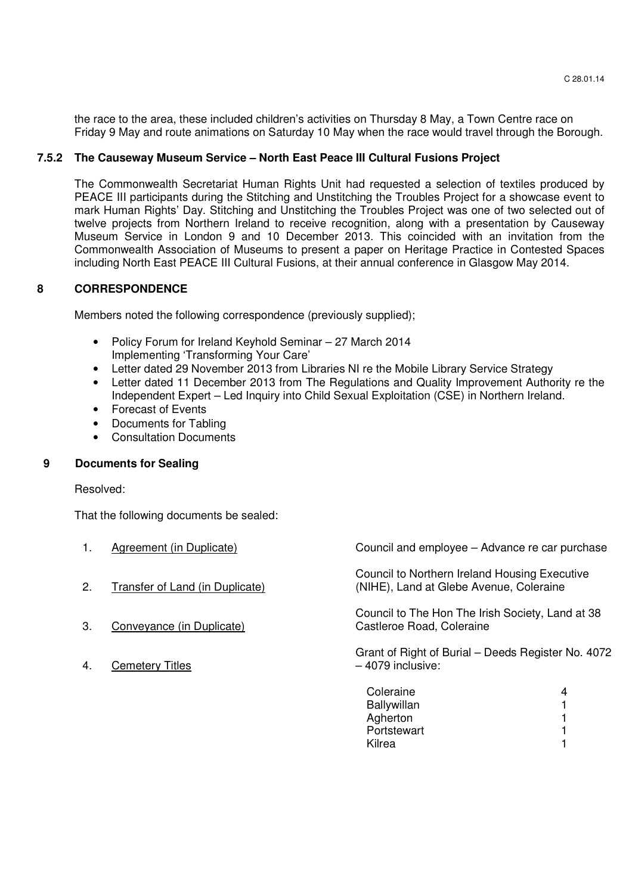the race to the area, these included children's activities on Thursday 8 May, a Town Centre race on Friday 9 May and route animations on Saturday 10 May when the race would travel through the Borough.

# **7.5.2 The Causeway Museum Service – North East Peace III Cultural Fusions Project**

The Commonwealth Secretariat Human Rights Unit had requested a selection of textiles produced by PEACE III participants during the Stitching and Unstitching the Troubles Project for a showcase event to mark Human Rights' Day. Stitching and Unstitching the Troubles Project was one of two selected out of twelve projects from Northern Ireland to receive recognition, along with a presentation by Causeway Museum Service in London 9 and 10 December 2013. This coincided with an invitation from the Commonwealth Association of Museums to present a paper on Heritage Practice in Contested Spaces including North East PEACE III Cultural Fusions, at their annual conference in Glasgow May 2014.

# **8 CORRESPONDENCE**

Members noted the following correspondence (previously supplied);

- Policy Forum for Ireland Keyhold Seminar 27 March 2014 Implementing 'Transforming Your Care'
- Letter dated 29 November 2013 from Libraries NI re the Mobile Library Service Strategy
- Letter dated 11 December 2013 from The Regulations and Quality Improvement Authority re the Independent Expert – Led Inquiry into Child Sexual Exploitation (CSE) in Northern Ireland.
- Forecast of Events
- Documents for Tabling
- Consultation Documents

# **9 Documents for Sealing**

Resolved:

That the following documents be sealed:

| 1.           | Agreement (in Duplicate)        | Council and employee - Advance re car purchase                                           |   |
|--------------|---------------------------------|------------------------------------------------------------------------------------------|---|
| 2.           | Transfer of Land (in Duplicate) | Council to Northern Ireland Housing Executive<br>(NIHE), Land at Glebe Avenue, Coleraine |   |
| 3.           | Conveyance (in Duplicate)       | Council to The Hon The Irish Society, Land at 38<br>Castleroe Road, Coleraine            |   |
| $\mathbf{4}$ | <b>Cemetery Titles</b>          | Grant of Right of Burial – Deeds Register No. 4072<br>-4079 inclusive:                   |   |
|              |                                 | Coleraine<br><b>Ballywillan</b>                                                          | 4 |

| Coleraine   |  |
|-------------|--|
| Ballywillan |  |
| Agherton    |  |
| Portstewart |  |
| Kilrea      |  |
|             |  |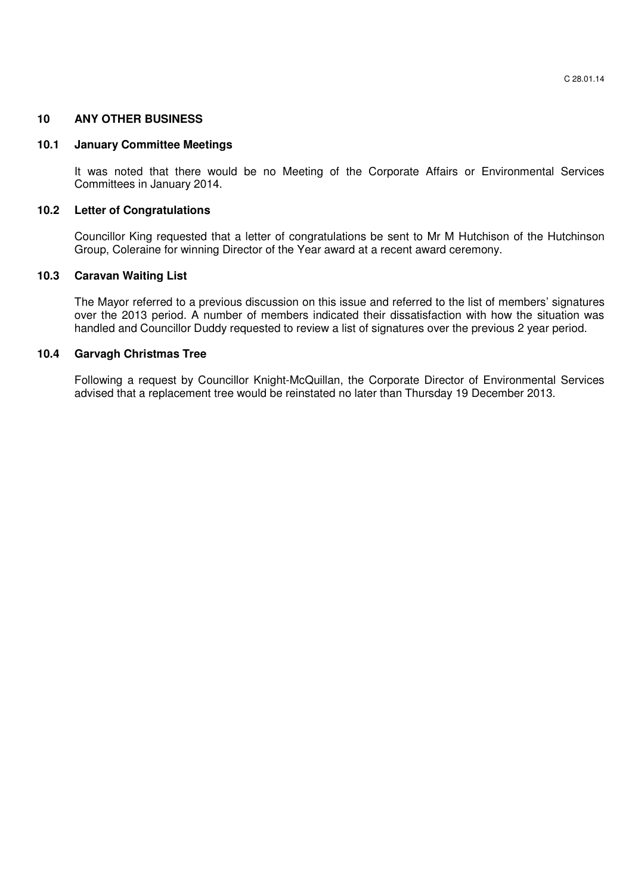# **10 ANY OTHER BUSINESS**

### **10.1 January Committee Meetings**

It was noted that there would be no Meeting of the Corporate Affairs or Environmental Services Committees in January 2014.

# **10.2 Letter of Congratulations**

 Councillor King requested that a letter of congratulations be sent to Mr M Hutchison of the Hutchinson Group, Coleraine for winning Director of the Year award at a recent award ceremony.

# **10.3 Caravan Waiting List**

The Mayor referred to a previous discussion on this issue and referred to the list of members' signatures over the 2013 period. A number of members indicated their dissatisfaction with how the situation was handled and Councillor Duddy requested to review a list of signatures over the previous 2 year period.

# **10.4 Garvagh Christmas Tree**

Following a request by Councillor Knight-McQuillan, the Corporate Director of Environmental Services advised that a replacement tree would be reinstated no later than Thursday 19 December 2013.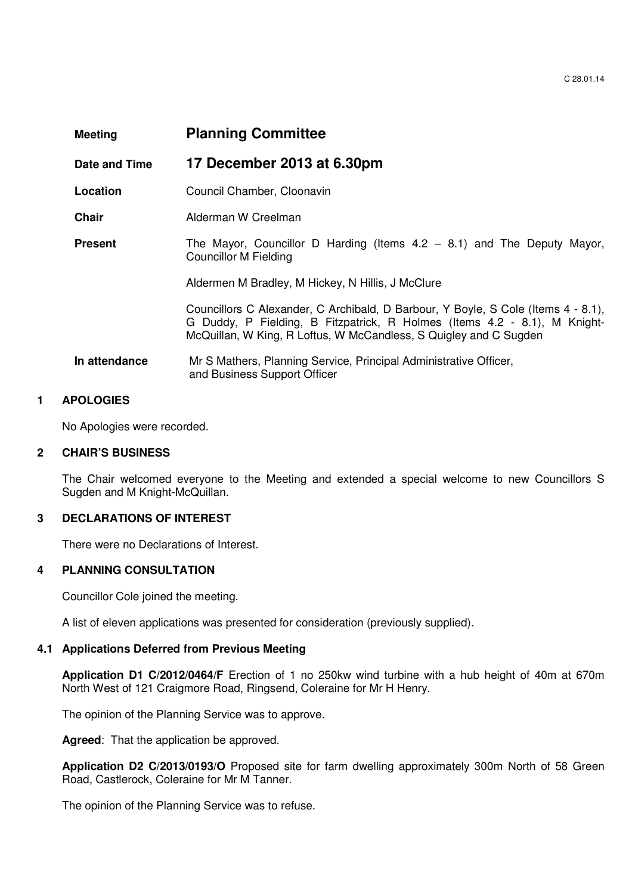# **Meeting Planning Committee**

**Date and Time 17 December 2013 at 6.30pm**

- **Location Council Chamber, Cloonavin**
- **Chair Alderman W Creelman**
- **Present** The Mayor, Councillor D Harding (Items 4.2 8.1) and The Deputy Mayor, Councillor M Fielding

Aldermen M Bradley, M Hickey, N Hillis, J McClure

Councillors C Alexander, C Archibald, D Barbour, Y Boyle, S Cole (Items 4 - 8.1), G Duddy, P Fielding, B Fitzpatrick, R Holmes (Items 4.2 - 8.1), M Knight-McQuillan, W King, R Loftus, W McCandless, S Quigley and C Sugden

 **In attendance** Mr S Mathers, Planning Service, Principal Administrative Officer, and Business Support Officer

# **1 APOLOGIES**

No Apologies were recorded.

#### **2 CHAIR'S BUSINESS**

The Chair welcomed everyone to the Meeting and extended a special welcome to new Councillors S Sugden and M Knight-McQuillan.

# **3 DECLARATIONS OF INTEREST**

There were no Declarations of Interest.

#### **4 PLANNING CONSULTATION**

Councillor Cole joined the meeting.

A list of eleven applications was presented for consideration (previously supplied).

#### **4.1 Applications Deferred from Previous Meeting**

**Application D1 C/2012/0464/F** Erection of 1 no 250kw wind turbine with a hub height of 40m at 670m North West of 121 Craigmore Road, Ringsend, Coleraine for Mr H Henry.

The opinion of the Planning Service was to approve.

**Agreed**: That the application be approved.

**Application D2 C/2013/0193/O** Proposed site for farm dwelling approximately 300m North of 58 Green Road, Castlerock, Coleraine for Mr M Tanner.

The opinion of the Planning Service was to refuse.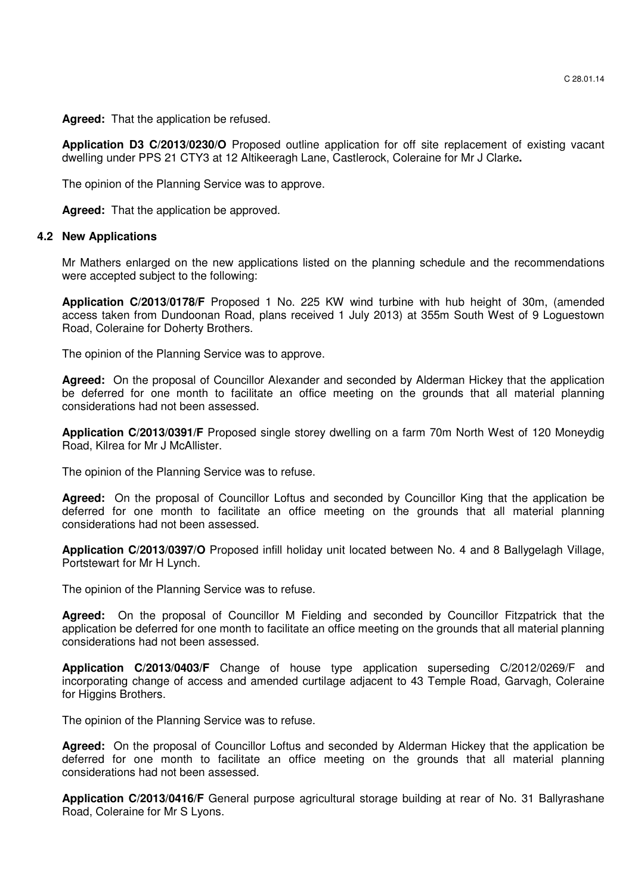**Agreed:** That the application be refused.

**Application D3 C/2013/0230/O** Proposed outline application for off site replacement of existing vacant dwelling under PPS 21 CTY3 at 12 Altikeeragh Lane, Castlerock, Coleraine for Mr J Clarke**.** 

The opinion of the Planning Service was to approve.

**Agreed:** That the application be approved.

#### **4.2 New Applications**

Mr Mathers enlarged on the new applications listed on the planning schedule and the recommendations were accepted subject to the following:

**Application C/2013/0178/F** Proposed 1 No. 225 KW wind turbine with hub height of 30m, (amended access taken from Dundoonan Road, plans received 1 July 2013) at 355m South West of 9 Loguestown Road, Coleraine for Doherty Brothers.

The opinion of the Planning Service was to approve.

**Agreed:** On the proposal of Councillor Alexander and seconded by Alderman Hickey that the application be deferred for one month to facilitate an office meeting on the grounds that all material planning considerations had not been assessed.

**Application C/2013/0391/F** Proposed single storey dwelling on a farm 70m North West of 120 Moneydig Road, Kilrea for Mr J McAllister.

The opinion of the Planning Service was to refuse.

**Agreed:** On the proposal of Councillor Loftus and seconded by Councillor King that the application be deferred for one month to facilitate an office meeting on the grounds that all material planning considerations had not been assessed.

**Application C/2013/0397/O** Proposed infill holiday unit located between No. 4 and 8 Ballygelagh Village, Portstewart for Mr H Lynch.

The opinion of the Planning Service was to refuse.

**Agreed:** On the proposal of Councillor M Fielding and seconded by Councillor Fitzpatrick that the application be deferred for one month to facilitate an office meeting on the grounds that all material planning considerations had not been assessed.

**Application C/2013/0403/F** Change of house type application superseding C/2012/0269/F and incorporating change of access and amended curtilage adjacent to 43 Temple Road, Garvagh, Coleraine for Higgins Brothers.

The opinion of the Planning Service was to refuse.

**Agreed:** On the proposal of Councillor Loftus and seconded by Alderman Hickey that the application be deferred for one month to facilitate an office meeting on the grounds that all material planning considerations had not been assessed.

**Application C/2013/0416/F** General purpose agricultural storage building at rear of No. 31 Ballyrashane Road, Coleraine for Mr S Lyons.